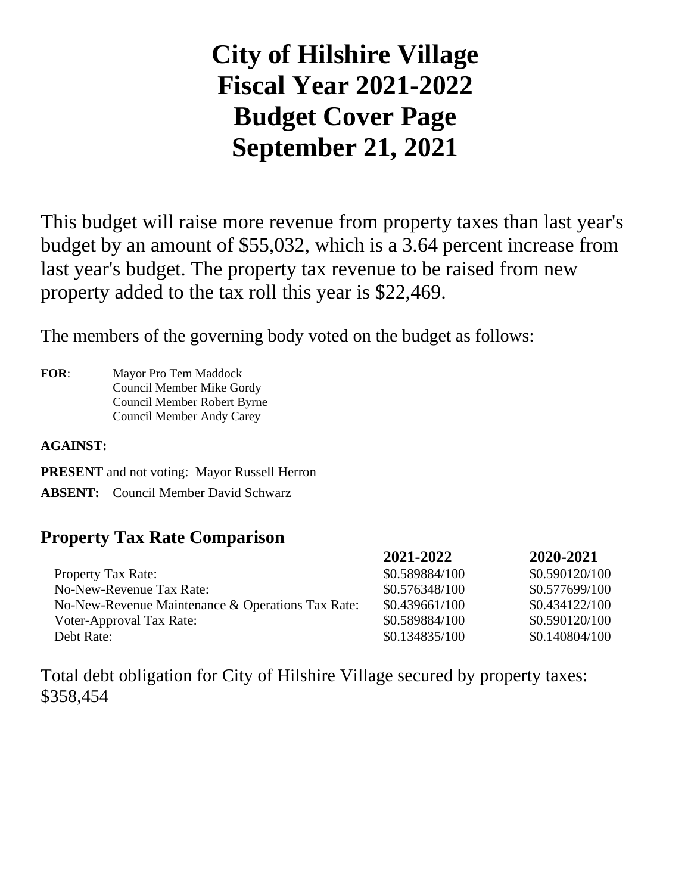# **City of Hilshire Village Fiscal Year 2021-2022 Budget Cover Page September 21, 2021**

This budget will raise more revenue from property taxes than last year's budget by an amount of \$55,032, which is a 3.64 percent increase from last year's budget. The property tax revenue to be raised from new property added to the tax roll this year is \$22,469.

The members of the governing body voted on the budget as follows:

**FOR**: Mayor Pro Tem Maddock Council Member Mike Gordy Council Member Robert Byrne Council Member Andy Carey

**AGAINST:**

**PRESENT** and not voting: Mayor Russell Herron

**ABSENT:** Council Member David Schwarz

## **Property Tax Rate Comparison**

|                                                   | 2021-2022      | 2020-2021      |
|---------------------------------------------------|----------------|----------------|
| <b>Property Tax Rate:</b>                         | \$0.589884/100 | \$0.590120/100 |
| No-New-Revenue Tax Rate:                          | \$0.576348/100 | \$0.577699/100 |
| No-New-Revenue Maintenance & Operations Tax Rate: | \$0.439661/100 | \$0.434122/100 |
| Voter-Approval Tax Rate:                          | \$0.589884/100 | \$0.590120/100 |
| Debt Rate:                                        | \$0.134835/100 | \$0.140804/100 |

Total debt obligation for City of Hilshire Village secured by property taxes: \$358,454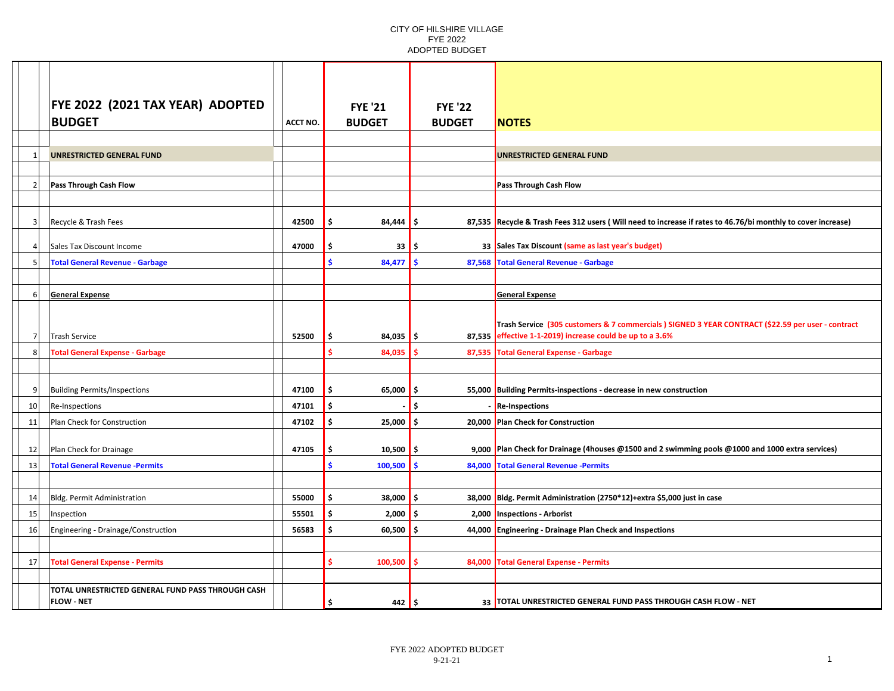|                 | <b>FYE 2022 (2021 TAX YEAR) ADOPTED</b>                                |                 | <b>FYE '21</b>          | <b>FYE '22</b> |                                                                                                                                                                 |
|-----------------|------------------------------------------------------------------------|-----------------|-------------------------|----------------|-----------------------------------------------------------------------------------------------------------------------------------------------------------------|
|                 | <b>BUDGET</b>                                                          | <b>ACCT NO.</b> | <b>BUDGET</b>           | <b>BUDGET</b>  | <b>NOTES</b>                                                                                                                                                    |
|                 |                                                                        |                 |                         |                |                                                                                                                                                                 |
| $\mathbf{1}$    | <b>UNRESTRICTED GENERAL FUND</b>                                       |                 |                         |                | UNRESTRICTED GENERAL FUND                                                                                                                                       |
|                 |                                                                        |                 |                         |                |                                                                                                                                                                 |
| 2 <sup>1</sup>  | Pass Through Cash Flow                                                 |                 |                         |                | <b>Pass Through Cash Flow</b>                                                                                                                                   |
|                 |                                                                        |                 |                         |                |                                                                                                                                                                 |
| 3               | Recycle & Trash Fees                                                   | 42500           | Ŝ.<br>84,444            | Ŝ.             | 87,535 Recycle & Trash Fees 312 users (Will need to increase if rates to 46.76/bi monthly to cover increase)                                                    |
| 4 <sup>1</sup>  | Sales Tax Discount Income                                              | 47000           | Ś<br>33                 | .s             | 33 Sales Tax Discount (same as last year's budget)                                                                                                              |
| 5 <sup>1</sup>  | <b>Total General Revenue - Garbage</b>                                 |                 | Š.<br>84,477            | S              | 87,568 Total General Revenue - Garbage                                                                                                                          |
|                 |                                                                        |                 |                         |                |                                                                                                                                                                 |
| $6 \mid$        | <b>General Expense</b>                                                 |                 |                         |                | <b>General Expense</b>                                                                                                                                          |
|                 |                                                                        |                 |                         |                |                                                                                                                                                                 |
| 7 <sup>1</sup>  | <b>Trash Service</b>                                                   | 52500           | 84,035<br>-\$           | l \$           | Trash Service (305 customers & 7 commercials ) SIGNED 3 YEAR CONTRACT (\$22.59 per user - contract<br>87,535 effective 1-1-2019) increase could be up to a 3.6% |
| 8 <sup>1</sup>  | <b>Total General Expense - Garbage</b>                                 |                 | Ś<br>84,035             |                | 87,535 Total General Expense - Garbage                                                                                                                          |
|                 |                                                                        |                 |                         |                |                                                                                                                                                                 |
| 9 <sup>1</sup>  | <b>Building Permits/Inspections</b>                                    | 47100           | Ŝ.<br>65,000            | l \$           | 55,000 Building Permits-inspections - decrease in new construction                                                                                              |
| 10 <sup>1</sup> | Re-Inspections                                                         | 47101           | \$                      | Ś.             | <b>Re-Inspections</b>                                                                                                                                           |
| 11              | Plan Check for Construction                                            | 47102           | Ŝ.<br>25,000            | \$.            | 20,000 Plan Check for Construction                                                                                                                              |
| 12              | Plan Check for Drainage                                                | 47105           | $10,500$ \$<br>Ŝ.       |                | 9,000 Plan Check for Drainage (4houses @1500 and 2 swimming pools @1000 and 1000 extra services)                                                                |
| 13              | <b>Total General Revenue -Permits</b>                                  |                 | Š.<br>100,500           | Ŝ              | 84,000 Total General Revenue -Permits                                                                                                                           |
|                 |                                                                        |                 |                         |                |                                                                                                                                                                 |
| 14              | Bldg. Permit Administration                                            | 55000           | \$<br>38,000            | -\$            | 38,000 Bldg. Permit Administration (2750*12)+extra \$5,000 just in case                                                                                         |
| 15 <sup>1</sup> | Inspection                                                             | 55501           | \$<br>2,000             | .s             | 2,000 Inspections - Arborist                                                                                                                                    |
| 16              | Engineering - Drainage/Construction                                    | 56583           | \$<br>$60,500$ \$       |                | 44,000 Engineering - Drainage Plan Check and Inspections                                                                                                        |
|                 |                                                                        |                 |                         |                |                                                                                                                                                                 |
| 17 <sup>1</sup> | <b>Total General Expense - Permits</b>                                 |                 | \$.<br>100,500          | 84,000<br>S    | <b>Total General Expense - Permits</b>                                                                                                                          |
|                 |                                                                        |                 |                         |                |                                                                                                                                                                 |
|                 | TOTAL UNRESTRICTED GENERAL FUND PASS THROUGH CASH<br><b>FLOW - NET</b> |                 | 442 $\frac{1}{5}$<br>\$ |                | 33   TOTAL UNRESTRICTED GENERAL FUND PASS THROUGH CASH FLOW - NET                                                                                               |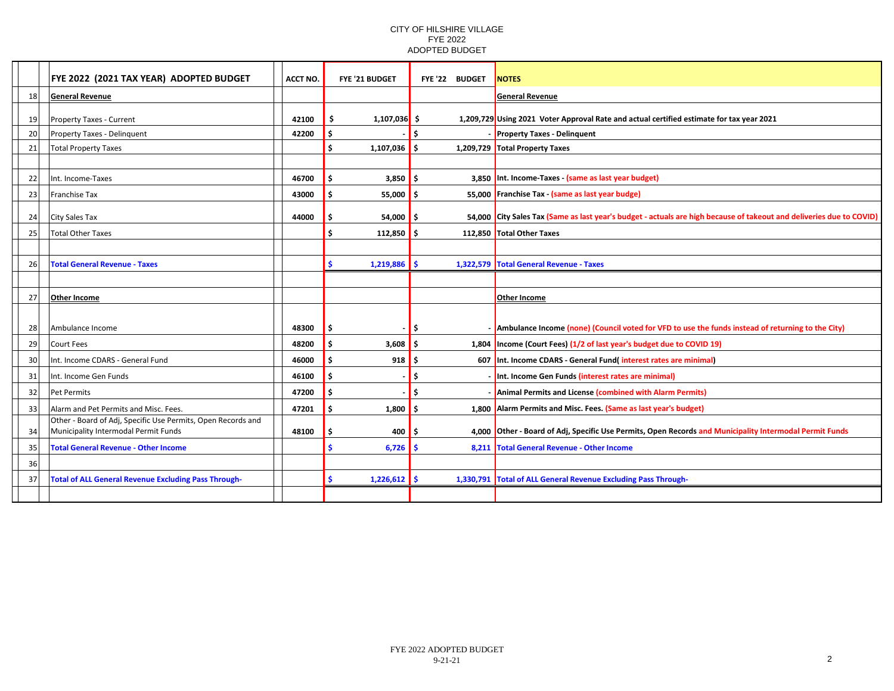|    | FYE 2022 (2021 TAX YEAR) ADOPTED BUDGET                      | <b>ACCT NO.</b> | <b>FYE '21 BUDGET</b>      | FYE '22 BUDGET | <b>NOTES</b>                                                                                                         |
|----|--------------------------------------------------------------|-----------------|----------------------------|----------------|----------------------------------------------------------------------------------------------------------------------|
| 18 | <b>General Revenue</b>                                       |                 |                            |                | <b>General Revenue</b>                                                                                               |
|    |                                                              |                 |                            |                |                                                                                                                      |
| 19 | Property Taxes - Current                                     | 42100           | $1,107,036$ \$             |                | 1,209,729 Using 2021 Voter Approval Rate and actual certified estimate for tax year 2021                             |
| 20 | Property Taxes - Delinquent                                  | 42200           |                            | Ŝ.             | <b>Property Taxes - Delinguent</b>                                                                                   |
| 21 | Total Property Taxes                                         |                 | Ŝ.<br>1,107,036            | l \$           | 1,209,729 Total Property Taxes                                                                                       |
|    |                                                              |                 |                            |                |                                                                                                                      |
| 22 | Int. Income-Taxes                                            | 46700           | $3,850$ \$                 |                | 3,850 Int. Income-Taxes - (same as last year budget)                                                                 |
| 23 | <b>Franchise Tax</b>                                         | 43000           | .\$<br>$55,000$ \$         |                | 55,000 Franchise Tax - (same as last year budge)                                                                     |
| 24 | City Sales Tax                                               | 44000           | $54,000$ \$                |                | 54,000 City Sales Tax (Same as last year's budget - actuals are high because of takeout and deliveries due to COVID) |
| 25 | <b>Total Other Taxes</b>                                     |                 | $112,850$ \$               |                | 112.850 Total Other Taxes                                                                                            |
|    |                                                              |                 |                            |                |                                                                                                                      |
| 26 | <b>Total General Revenue - Taxes</b>                         |                 | <b>S</b><br>$1,219,886$ \$ |                | 1,322,579 Total General Revenue - Taxes                                                                              |
|    |                                                              |                 |                            |                |                                                                                                                      |
| 27 | <b>Other Income</b>                                          |                 |                            |                | Other Income                                                                                                         |
|    |                                                              |                 |                            |                |                                                                                                                      |
| 28 | Ambulance Income                                             | 48300           |                            | l \$           | - Ambulance Income (none) (Council voted for VFD to use the funds instead of returning to the City)                  |
| 29 | Court Fees                                                   | 48200           | 3,608<br>Ŝ.                | Ŝ.             | 1,804 Income (Court Fees) (1/2 of last year's budget due to COVID 19)                                                |
| 30 | Int. Income CDARS - General Fund                             | 46000           | 918<br>Ŝ.                  | l \$           | 607 Int. Income CDARS - General Fund(interest rates are minimal)                                                     |
| 31 | Int. Income Gen Funds                                        | 46100           | . Ś                        | -\$            | - Int. Income Gen Funds (interest rates are minimal)                                                                 |
| 32 | <b>Pet Permits</b>                                           | 47200           |                            | Ś              | Animal Permits and License (combined with Alarm Permits)                                                             |
| 33 | Alarm and Pet Permits and Misc. Fees.                        | 47201           | Ŝ.<br>$1,800$ \$           |                | 1,800 Alarm Permits and Misc. Fees. (Same as last year's budget)                                                     |
|    | Other - Board of Adj, Specific Use Permits, Open Records and |                 |                            |                |                                                                                                                      |
| 34 | Municipality Intermodal Permit Funds                         | 48100           | 400                        | ۱s             | 4,000 Other - Board of Adj, Specific Use Permits, Open Records and Municipality Intermodal Permit Funds              |
| 35 | <b>Total General Revenue - Other Income</b>                  |                 | $6,726$ \$                 |                | 8,211 Total General Revenue - Other Income                                                                           |
| 36 |                                                              |                 |                            |                |                                                                                                                      |
| 37 | <b>Total of ALL General Revenue Excluding Pass Through-</b>  |                 | $1,226,612$ \$<br>Ŝ.       |                | 1,330,791 Total of ALL General Revenue Excluding Pass Through-                                                       |
|    |                                                              |                 |                            |                |                                                                                                                      |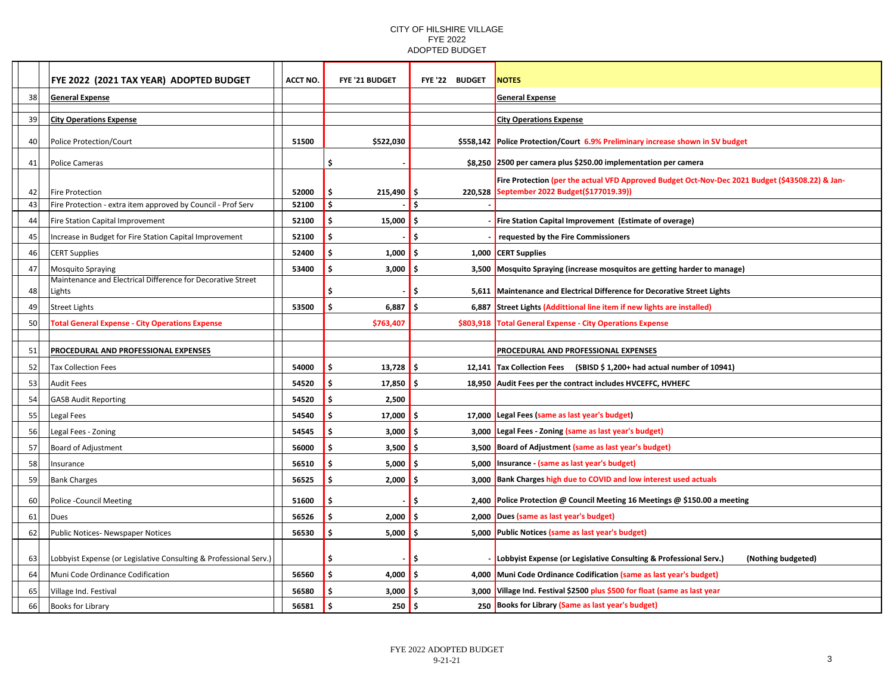| 38<br><b>General Expense</b><br><b>General Expense</b><br>39<br><b>City Operations Expense</b><br><b>City Operations Expense</b><br>51500<br>\$558,142 Police Protection/Court 6.9% Preliminary increase shown in SV budget<br>Police Protection/Court<br>\$522,030<br>40<br>\$<br>\$8,250 2500 per camera plus \$250.00 implementation per camera<br>Police Cameras<br>41<br>Fire Protection (per the actual VFD Approved Budget Oct-Nov-Dec 2021 Budget (\$43508.22) & Jan-<br>September 2022 Budget(\$177019.39))<br>52000<br>\$<br>215,490<br>220,528<br>42<br>Fire Protection<br>-\$<br>Ś<br>Fire Protection - extra item approved by Council - Prof Serv<br>Ś.<br>43<br>52100<br>Fire Station Capital Improvement<br>Ŝ.<br>15,000<br>Fire Station Capital Improvement (Estimate of overage)<br>52100<br>44<br>-\$<br>Increase in Budget for Fire Station Capital Improvement<br>52100<br>\$.<br>45<br>requested by the Fire Commissioners<br>S<br>1,000<br><b>CERT Supplies</b><br>52400<br>\$<br>1,000 CERT Supplies<br>46<br>\$<br>Ś<br>53400<br>3,000<br>Mosquito Spraying (increase mosquitos are getting harder to manage)<br>47<br><b>Mosquito Spraying</b><br>.S<br>3,500<br>Maintenance and Electrical Difference for Decorative Street<br>5,611 Maintenance and Electrical Difference for Decorative Street Lights<br>Lights<br>Ś<br>48<br>S<br>53500<br>Ŝ.<br>6,887<br>Street Lights (Addittional line item if new lights are installed)<br>49<br><b>Street Lights</b><br>6,887<br>Ŝ<br><b>Total General Expense - City Operations Expense</b><br>\$763,407<br>\$803,918<br><b>Total General Expense - City Operations Expense</b><br>50<br>PROCEDURAL AND PROFESSIONAL EXPENSES<br>PROCEDURAL AND PROFESSIONAL EXPENSES<br>51<br>\$<br>52<br><b>Tax Collection Fees</b><br>54000<br>13,728<br>Tax Collection Fees (SBISD \$ 1,200+ had actual number of 10941)<br>S<br>12,141<br>Ŝ.<br>18,950 Audit Fees per the contract includes HVCEFFC, HVHEFC<br><b>Audit Fees</b><br>54520<br>17,850<br>53<br>Ŝ.<br>54520<br>2,500<br><b>GASB Audit Reporting</b><br>Ŝ.<br>54<br>17,000 Legal Fees (same as last year's budget)<br>55<br>54540<br>\$.<br>17,000<br>Ŝ.<br>Legal Fees<br>\$<br>Legal Fees - Zoning (same as last year's budget)<br>54545<br>3,000<br>Ŝ.<br>56<br>Legal Fees - Zoning<br>3.000<br>Board of Adjustment (same as last year's budget)<br>57<br>Board of Adjustment<br>56000<br>\$<br>3,500<br>3,500<br>Insurance - (same as last year's budget)<br>58<br>56510<br>\$.<br>5,000<br>5,000<br>Ŝ<br>Insurance<br>\$<br>3,000 Bank Charges high due to COVID and low interest used actuals<br><b>Bank Charges</b><br>56525<br>2,000<br>59<br>Ŝ.<br>Police Protection @ Council Meeting 16 Meetings @ \$150.00 a meeting<br>60<br><b>Police -Council Meeting</b><br>51600<br>Ŝ.<br>2,400<br>s<br>\$.<br>Dues (same as last year's budget)<br>61<br>Dues<br>56526<br>2,000<br>2,000<br>Ŝ.<br>Public Notices (same as last year's budget)<br>56530<br>Ŝ.<br>5,000<br>62<br>Public Notices- Newspaper Notices<br>5,000<br>S<br>Lobbyist Expense (or Legislative Consulting & Professional Serv.)<br>(Nothing budgeted)<br>Lobbyist Expense (or Legislative Consulting & Professional Serv.)<br>\$<br>63<br>Ŝ<br>\$<br>4,000 Muni Code Ordinance Codification (same as last year's budget)<br>Muni Code Ordinance Codification<br>56560<br>4,000<br>64<br>l \$<br>56580<br>\$<br>Village Ind. Festival \$2500 plus \$500 for float (same as last year<br>Village Ind. Festival<br>3,000<br>3,000<br>65 |  | FYE 2022 (2021 TAX YEAR) ADOPTED BUDGET | <b>ACCT NO.</b> | FYE '21 BUDGET | FYE'22 BUDGET | <b>NOTES</b>                                       |
|-------------------------------------------------------------------------------------------------------------------------------------------------------------------------------------------------------------------------------------------------------------------------------------------------------------------------------------------------------------------------------------------------------------------------------------------------------------------------------------------------------------------------------------------------------------------------------------------------------------------------------------------------------------------------------------------------------------------------------------------------------------------------------------------------------------------------------------------------------------------------------------------------------------------------------------------------------------------------------------------------------------------------------------------------------------------------------------------------------------------------------------------------------------------------------------------------------------------------------------------------------------------------------------------------------------------------------------------------------------------------------------------------------------------------------------------------------------------------------------------------------------------------------------------------------------------------------------------------------------------------------------------------------------------------------------------------------------------------------------------------------------------------------------------------------------------------------------------------------------------------------------------------------------------------------------------------------------------------------------------------------------------------------------------------------------------------------------------------------------------------------------------------------------------------------------------------------------------------------------------------------------------------------------------------------------------------------------------------------------------------------------------------------------------------------------------------------------------------------------------------------------------------------------------------------------------------------------------------------------------------------------------------------------------------------------------------------------------------------------------------------------------------------------------------------------------------------------------------------------------------------------------------------------------------------------------------------------------------------------------------------------------------------------------------------------------------------------------------------------------------------------------------------------------------------------------------------------------------------------------------------------------------------------------------------------------------------------------------------------------------------------------------------------------------------------------------------------------------------------------------------------------------------|--|-----------------------------------------|-----------------|----------------|---------------|----------------------------------------------------|
|                                                                                                                                                                                                                                                                                                                                                                                                                                                                                                                                                                                                                                                                                                                                                                                                                                                                                                                                                                                                                                                                                                                                                                                                                                                                                                                                                                                                                                                                                                                                                                                                                                                                                                                                                                                                                                                                                                                                                                                                                                                                                                                                                                                                                                                                                                                                                                                                                                                                                                                                                                                                                                                                                                                                                                                                                                                                                                                                                                                                                                                                                                                                                                                                                                                                                                                                                                                                                                                                                                                               |  |                                         |                 |                |               |                                                    |
|                                                                                                                                                                                                                                                                                                                                                                                                                                                                                                                                                                                                                                                                                                                                                                                                                                                                                                                                                                                                                                                                                                                                                                                                                                                                                                                                                                                                                                                                                                                                                                                                                                                                                                                                                                                                                                                                                                                                                                                                                                                                                                                                                                                                                                                                                                                                                                                                                                                                                                                                                                                                                                                                                                                                                                                                                                                                                                                                                                                                                                                                                                                                                                                                                                                                                                                                                                                                                                                                                                                               |  |                                         |                 |                |               |                                                    |
|                                                                                                                                                                                                                                                                                                                                                                                                                                                                                                                                                                                                                                                                                                                                                                                                                                                                                                                                                                                                                                                                                                                                                                                                                                                                                                                                                                                                                                                                                                                                                                                                                                                                                                                                                                                                                                                                                                                                                                                                                                                                                                                                                                                                                                                                                                                                                                                                                                                                                                                                                                                                                                                                                                                                                                                                                                                                                                                                                                                                                                                                                                                                                                                                                                                                                                                                                                                                                                                                                                                               |  |                                         |                 |                |               |                                                    |
|                                                                                                                                                                                                                                                                                                                                                                                                                                                                                                                                                                                                                                                                                                                                                                                                                                                                                                                                                                                                                                                                                                                                                                                                                                                                                                                                                                                                                                                                                                                                                                                                                                                                                                                                                                                                                                                                                                                                                                                                                                                                                                                                                                                                                                                                                                                                                                                                                                                                                                                                                                                                                                                                                                                                                                                                                                                                                                                                                                                                                                                                                                                                                                                                                                                                                                                                                                                                                                                                                                                               |  |                                         |                 |                |               |                                                    |
|                                                                                                                                                                                                                                                                                                                                                                                                                                                                                                                                                                                                                                                                                                                                                                                                                                                                                                                                                                                                                                                                                                                                                                                                                                                                                                                                                                                                                                                                                                                                                                                                                                                                                                                                                                                                                                                                                                                                                                                                                                                                                                                                                                                                                                                                                                                                                                                                                                                                                                                                                                                                                                                                                                                                                                                                                                                                                                                                                                                                                                                                                                                                                                                                                                                                                                                                                                                                                                                                                                                               |  |                                         |                 |                |               |                                                    |
|                                                                                                                                                                                                                                                                                                                                                                                                                                                                                                                                                                                                                                                                                                                                                                                                                                                                                                                                                                                                                                                                                                                                                                                                                                                                                                                                                                                                                                                                                                                                                                                                                                                                                                                                                                                                                                                                                                                                                                                                                                                                                                                                                                                                                                                                                                                                                                                                                                                                                                                                                                                                                                                                                                                                                                                                                                                                                                                                                                                                                                                                                                                                                                                                                                                                                                                                                                                                                                                                                                                               |  |                                         |                 |                |               |                                                    |
|                                                                                                                                                                                                                                                                                                                                                                                                                                                                                                                                                                                                                                                                                                                                                                                                                                                                                                                                                                                                                                                                                                                                                                                                                                                                                                                                                                                                                                                                                                                                                                                                                                                                                                                                                                                                                                                                                                                                                                                                                                                                                                                                                                                                                                                                                                                                                                                                                                                                                                                                                                                                                                                                                                                                                                                                                                                                                                                                                                                                                                                                                                                                                                                                                                                                                                                                                                                                                                                                                                                               |  |                                         |                 |                |               |                                                    |
|                                                                                                                                                                                                                                                                                                                                                                                                                                                                                                                                                                                                                                                                                                                                                                                                                                                                                                                                                                                                                                                                                                                                                                                                                                                                                                                                                                                                                                                                                                                                                                                                                                                                                                                                                                                                                                                                                                                                                                                                                                                                                                                                                                                                                                                                                                                                                                                                                                                                                                                                                                                                                                                                                                                                                                                                                                                                                                                                                                                                                                                                                                                                                                                                                                                                                                                                                                                                                                                                                                                               |  |                                         |                 |                |               |                                                    |
|                                                                                                                                                                                                                                                                                                                                                                                                                                                                                                                                                                                                                                                                                                                                                                                                                                                                                                                                                                                                                                                                                                                                                                                                                                                                                                                                                                                                                                                                                                                                                                                                                                                                                                                                                                                                                                                                                                                                                                                                                                                                                                                                                                                                                                                                                                                                                                                                                                                                                                                                                                                                                                                                                                                                                                                                                                                                                                                                                                                                                                                                                                                                                                                                                                                                                                                                                                                                                                                                                                                               |  |                                         |                 |                |               |                                                    |
|                                                                                                                                                                                                                                                                                                                                                                                                                                                                                                                                                                                                                                                                                                                                                                                                                                                                                                                                                                                                                                                                                                                                                                                                                                                                                                                                                                                                                                                                                                                                                                                                                                                                                                                                                                                                                                                                                                                                                                                                                                                                                                                                                                                                                                                                                                                                                                                                                                                                                                                                                                                                                                                                                                                                                                                                                                                                                                                                                                                                                                                                                                                                                                                                                                                                                                                                                                                                                                                                                                                               |  |                                         |                 |                |               |                                                    |
|                                                                                                                                                                                                                                                                                                                                                                                                                                                                                                                                                                                                                                                                                                                                                                                                                                                                                                                                                                                                                                                                                                                                                                                                                                                                                                                                                                                                                                                                                                                                                                                                                                                                                                                                                                                                                                                                                                                                                                                                                                                                                                                                                                                                                                                                                                                                                                                                                                                                                                                                                                                                                                                                                                                                                                                                                                                                                                                                                                                                                                                                                                                                                                                                                                                                                                                                                                                                                                                                                                                               |  |                                         |                 |                |               |                                                    |
|                                                                                                                                                                                                                                                                                                                                                                                                                                                                                                                                                                                                                                                                                                                                                                                                                                                                                                                                                                                                                                                                                                                                                                                                                                                                                                                                                                                                                                                                                                                                                                                                                                                                                                                                                                                                                                                                                                                                                                                                                                                                                                                                                                                                                                                                                                                                                                                                                                                                                                                                                                                                                                                                                                                                                                                                                                                                                                                                                                                                                                                                                                                                                                                                                                                                                                                                                                                                                                                                                                                               |  |                                         |                 |                |               |                                                    |
|                                                                                                                                                                                                                                                                                                                                                                                                                                                                                                                                                                                                                                                                                                                                                                                                                                                                                                                                                                                                                                                                                                                                                                                                                                                                                                                                                                                                                                                                                                                                                                                                                                                                                                                                                                                                                                                                                                                                                                                                                                                                                                                                                                                                                                                                                                                                                                                                                                                                                                                                                                                                                                                                                                                                                                                                                                                                                                                                                                                                                                                                                                                                                                                                                                                                                                                                                                                                                                                                                                                               |  |                                         |                 |                |               |                                                    |
|                                                                                                                                                                                                                                                                                                                                                                                                                                                                                                                                                                                                                                                                                                                                                                                                                                                                                                                                                                                                                                                                                                                                                                                                                                                                                                                                                                                                                                                                                                                                                                                                                                                                                                                                                                                                                                                                                                                                                                                                                                                                                                                                                                                                                                                                                                                                                                                                                                                                                                                                                                                                                                                                                                                                                                                                                                                                                                                                                                                                                                                                                                                                                                                                                                                                                                                                                                                                                                                                                                                               |  |                                         |                 |                |               |                                                    |
|                                                                                                                                                                                                                                                                                                                                                                                                                                                                                                                                                                                                                                                                                                                                                                                                                                                                                                                                                                                                                                                                                                                                                                                                                                                                                                                                                                                                                                                                                                                                                                                                                                                                                                                                                                                                                                                                                                                                                                                                                                                                                                                                                                                                                                                                                                                                                                                                                                                                                                                                                                                                                                                                                                                                                                                                                                                                                                                                                                                                                                                                                                                                                                                                                                                                                                                                                                                                                                                                                                                               |  |                                         |                 |                |               |                                                    |
|                                                                                                                                                                                                                                                                                                                                                                                                                                                                                                                                                                                                                                                                                                                                                                                                                                                                                                                                                                                                                                                                                                                                                                                                                                                                                                                                                                                                                                                                                                                                                                                                                                                                                                                                                                                                                                                                                                                                                                                                                                                                                                                                                                                                                                                                                                                                                                                                                                                                                                                                                                                                                                                                                                                                                                                                                                                                                                                                                                                                                                                                                                                                                                                                                                                                                                                                                                                                                                                                                                                               |  |                                         |                 |                |               |                                                    |
|                                                                                                                                                                                                                                                                                                                                                                                                                                                                                                                                                                                                                                                                                                                                                                                                                                                                                                                                                                                                                                                                                                                                                                                                                                                                                                                                                                                                                                                                                                                                                                                                                                                                                                                                                                                                                                                                                                                                                                                                                                                                                                                                                                                                                                                                                                                                                                                                                                                                                                                                                                                                                                                                                                                                                                                                                                                                                                                                                                                                                                                                                                                                                                                                                                                                                                                                                                                                                                                                                                                               |  |                                         |                 |                |               |                                                    |
|                                                                                                                                                                                                                                                                                                                                                                                                                                                                                                                                                                                                                                                                                                                                                                                                                                                                                                                                                                                                                                                                                                                                                                                                                                                                                                                                                                                                                                                                                                                                                                                                                                                                                                                                                                                                                                                                                                                                                                                                                                                                                                                                                                                                                                                                                                                                                                                                                                                                                                                                                                                                                                                                                                                                                                                                                                                                                                                                                                                                                                                                                                                                                                                                                                                                                                                                                                                                                                                                                                                               |  |                                         |                 |                |               |                                                    |
|                                                                                                                                                                                                                                                                                                                                                                                                                                                                                                                                                                                                                                                                                                                                                                                                                                                                                                                                                                                                                                                                                                                                                                                                                                                                                                                                                                                                                                                                                                                                                                                                                                                                                                                                                                                                                                                                                                                                                                                                                                                                                                                                                                                                                                                                                                                                                                                                                                                                                                                                                                                                                                                                                                                                                                                                                                                                                                                                                                                                                                                                                                                                                                                                                                                                                                                                                                                                                                                                                                                               |  |                                         |                 |                |               |                                                    |
|                                                                                                                                                                                                                                                                                                                                                                                                                                                                                                                                                                                                                                                                                                                                                                                                                                                                                                                                                                                                                                                                                                                                                                                                                                                                                                                                                                                                                                                                                                                                                                                                                                                                                                                                                                                                                                                                                                                                                                                                                                                                                                                                                                                                                                                                                                                                                                                                                                                                                                                                                                                                                                                                                                                                                                                                                                                                                                                                                                                                                                                                                                                                                                                                                                                                                                                                                                                                                                                                                                                               |  |                                         |                 |                |               |                                                    |
|                                                                                                                                                                                                                                                                                                                                                                                                                                                                                                                                                                                                                                                                                                                                                                                                                                                                                                                                                                                                                                                                                                                                                                                                                                                                                                                                                                                                                                                                                                                                                                                                                                                                                                                                                                                                                                                                                                                                                                                                                                                                                                                                                                                                                                                                                                                                                                                                                                                                                                                                                                                                                                                                                                                                                                                                                                                                                                                                                                                                                                                                                                                                                                                                                                                                                                                                                                                                                                                                                                                               |  |                                         |                 |                |               |                                                    |
|                                                                                                                                                                                                                                                                                                                                                                                                                                                                                                                                                                                                                                                                                                                                                                                                                                                                                                                                                                                                                                                                                                                                                                                                                                                                                                                                                                                                                                                                                                                                                                                                                                                                                                                                                                                                                                                                                                                                                                                                                                                                                                                                                                                                                                                                                                                                                                                                                                                                                                                                                                                                                                                                                                                                                                                                                                                                                                                                                                                                                                                                                                                                                                                                                                                                                                                                                                                                                                                                                                                               |  |                                         |                 |                |               |                                                    |
|                                                                                                                                                                                                                                                                                                                                                                                                                                                                                                                                                                                                                                                                                                                                                                                                                                                                                                                                                                                                                                                                                                                                                                                                                                                                                                                                                                                                                                                                                                                                                                                                                                                                                                                                                                                                                                                                                                                                                                                                                                                                                                                                                                                                                                                                                                                                                                                                                                                                                                                                                                                                                                                                                                                                                                                                                                                                                                                                                                                                                                                                                                                                                                                                                                                                                                                                                                                                                                                                                                                               |  |                                         |                 |                |               |                                                    |
|                                                                                                                                                                                                                                                                                                                                                                                                                                                                                                                                                                                                                                                                                                                                                                                                                                                                                                                                                                                                                                                                                                                                                                                                                                                                                                                                                                                                                                                                                                                                                                                                                                                                                                                                                                                                                                                                                                                                                                                                                                                                                                                                                                                                                                                                                                                                                                                                                                                                                                                                                                                                                                                                                                                                                                                                                                                                                                                                                                                                                                                                                                                                                                                                                                                                                                                                                                                                                                                                                                                               |  |                                         |                 |                |               |                                                    |
|                                                                                                                                                                                                                                                                                                                                                                                                                                                                                                                                                                                                                                                                                                                                                                                                                                                                                                                                                                                                                                                                                                                                                                                                                                                                                                                                                                                                                                                                                                                                                                                                                                                                                                                                                                                                                                                                                                                                                                                                                                                                                                                                                                                                                                                                                                                                                                                                                                                                                                                                                                                                                                                                                                                                                                                                                                                                                                                                                                                                                                                                                                                                                                                                                                                                                                                                                                                                                                                                                                                               |  |                                         |                 |                |               |                                                    |
|                                                                                                                                                                                                                                                                                                                                                                                                                                                                                                                                                                                                                                                                                                                                                                                                                                                                                                                                                                                                                                                                                                                                                                                                                                                                                                                                                                                                                                                                                                                                                                                                                                                                                                                                                                                                                                                                                                                                                                                                                                                                                                                                                                                                                                                                                                                                                                                                                                                                                                                                                                                                                                                                                                                                                                                                                                                                                                                                                                                                                                                                                                                                                                                                                                                                                                                                                                                                                                                                                                                               |  |                                         |                 |                |               |                                                    |
|                                                                                                                                                                                                                                                                                                                                                                                                                                                                                                                                                                                                                                                                                                                                                                                                                                                                                                                                                                                                                                                                                                                                                                                                                                                                                                                                                                                                                                                                                                                                                                                                                                                                                                                                                                                                                                                                                                                                                                                                                                                                                                                                                                                                                                                                                                                                                                                                                                                                                                                                                                                                                                                                                                                                                                                                                                                                                                                                                                                                                                                                                                                                                                                                                                                                                                                                                                                                                                                                                                                               |  |                                         |                 |                |               |                                                    |
|                                                                                                                                                                                                                                                                                                                                                                                                                                                                                                                                                                                                                                                                                                                                                                                                                                                                                                                                                                                                                                                                                                                                                                                                                                                                                                                                                                                                                                                                                                                                                                                                                                                                                                                                                                                                                                                                                                                                                                                                                                                                                                                                                                                                                                                                                                                                                                                                                                                                                                                                                                                                                                                                                                                                                                                                                                                                                                                                                                                                                                                                                                                                                                                                                                                                                                                                                                                                                                                                                                                               |  |                                         |                 |                |               |                                                    |
|                                                                                                                                                                                                                                                                                                                                                                                                                                                                                                                                                                                                                                                                                                                                                                                                                                                                                                                                                                                                                                                                                                                                                                                                                                                                                                                                                                                                                                                                                                                                                                                                                                                                                                                                                                                                                                                                                                                                                                                                                                                                                                                                                                                                                                                                                                                                                                                                                                                                                                                                                                                                                                                                                                                                                                                                                                                                                                                                                                                                                                                                                                                                                                                                                                                                                                                                                                                                                                                                                                                               |  |                                         |                 |                |               |                                                    |
|                                                                                                                                                                                                                                                                                                                                                                                                                                                                                                                                                                                                                                                                                                                                                                                                                                                                                                                                                                                                                                                                                                                                                                                                                                                                                                                                                                                                                                                                                                                                                                                                                                                                                                                                                                                                                                                                                                                                                                                                                                                                                                                                                                                                                                                                                                                                                                                                                                                                                                                                                                                                                                                                                                                                                                                                                                                                                                                                                                                                                                                                                                                                                                                                                                                                                                                                                                                                                                                                                                                               |  |                                         |                 |                |               |                                                    |
| 66<br>- Ş                                                                                                                                                                                                                                                                                                                                                                                                                                                                                                                                                                                                                                                                                                                                                                                                                                                                                                                                                                                                                                                                                                                                                                                                                                                                                                                                                                                                                                                                                                                                                                                                                                                                                                                                                                                                                                                                                                                                                                                                                                                                                                                                                                                                                                                                                                                                                                                                                                                                                                                                                                                                                                                                                                                                                                                                                                                                                                                                                                                                                                                                                                                                                                                                                                                                                                                                                                                                                                                                                                                     |  | Books for Library                       | 56581           | \$<br>250      |               | 250 Books for Library (Same as last year's budget) |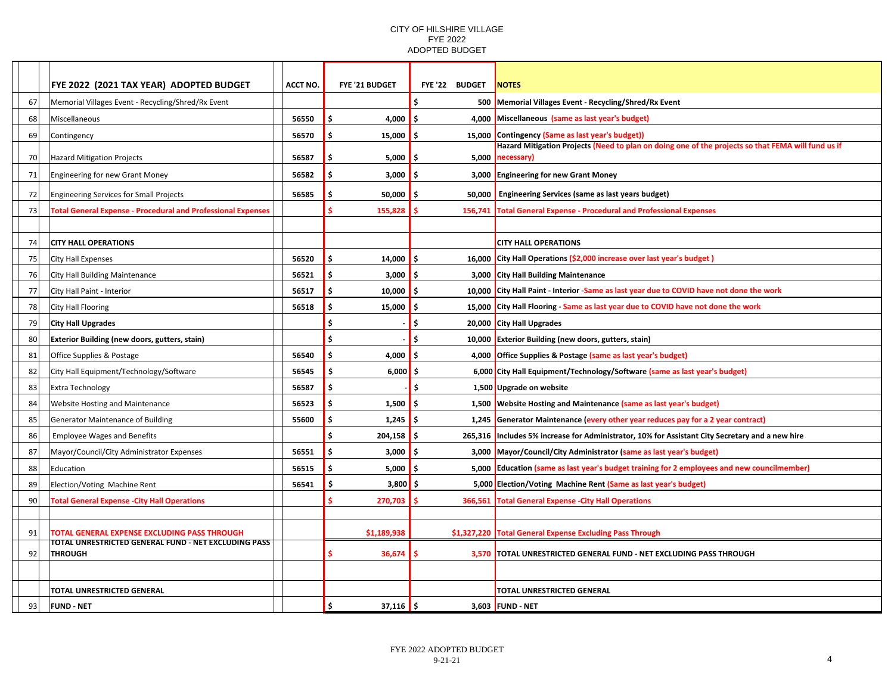|    | <b>FYE 2022 (2021 TAX YEAR) ADOPTED BUDGET</b>                         | <b>ACCT NO.</b> | <b>FYE '21 BUDGET</b>  | FYE'22 BUDGET | <b>NOTES</b>                                                                                                     |
|----|------------------------------------------------------------------------|-----------------|------------------------|---------------|------------------------------------------------------------------------------------------------------------------|
| 67 | Memorial Villages Event - Recycling/Shred/Rx Event                     |                 |                        |               | 500 Memorial Villages Event - Recycling/Shred/Rx Event                                                           |
| 68 | Miscellaneous                                                          | 56550           | \$<br>4,000 $\vert$ \$ |               | 4,000 Miscellaneous (same as last year's budget)                                                                 |
| 69 | Contingency                                                            | 56570           | Ś<br>15,000            | 15,000<br>.S  | Contingency (Same as last year's budget))                                                                        |
| 70 |                                                                        | 56587           | Ś.<br>5,000            | 5,000<br>\$.  | Hazard Mitigation Projects (Need to plan on doing one of the projects so that FEMA will fund us if<br>necessary) |
|    | Hazard Mitigation Projects                                             |                 |                        |               |                                                                                                                  |
| 71 | Engineering for new Grant Money                                        | 56582           | Ŝ.<br>3,000            | ۱\$           | 3,000 Engineering for new Grant Money                                                                            |
| 72 | Engineering Services for Small Projects                                | 56585           | Ś<br>50,000            | 50,000<br>- S | <b>Engineering Services (same as last years budget)</b>                                                          |
| 73 | <b>Total General Expense - Procedural and Professional Expenses</b>    |                 | Ś<br>155,828           | 156,741       | <b>Total General Expense - Procedural and Professional Expenses</b>                                              |
|    |                                                                        |                 |                        |               |                                                                                                                  |
| 74 | <b>CITY HALL OPERATIONS</b>                                            |                 |                        |               | <b>CITY HALL OPERATIONS</b>                                                                                      |
| 75 | <b>City Hall Expenses</b>                                              | 56520           | \$<br>$14,000$ \$      |               | 16,000 City Hall Operations (\$2,000 increase over last year's budget)                                           |
| 76 | City Hall Building Maintenance                                         | 56521           | Ŝ.<br>3,000            | l \$          | 3,000 City Hall Building Maintenance                                                                             |
| 77 | City Hall Paint - Interior                                             | 56517           | \$<br>10,000           | -\$           | 10,000 City Hall Paint - Interior -Same as last year due to COVID have not done the work                         |
| 78 | City Hall Flooring                                                     | 56518           | Ŝ.<br>$15,000$ \$      |               | 15,000 City Hall Flooring - Same as last year due to COVID have not done the work                                |
| 79 | <b>City Hall Upgrades</b>                                              |                 | Ś                      | l\$           | 20,000 City Hall Upgrades                                                                                        |
| 80 | <b>Exterior Building (new doors, gutters, stain)</b>                   |                 | Ś                      | Ś.            | 10,000 Exterior Building (new doors, gutters, stain)                                                             |
| 81 | Office Supplies & Postage                                              | 56540           | Ś<br>4,000 $\vert$ \$  |               | 4,000 Office Supplies & Postage (same as last year's budget)                                                     |
| 82 | City Hall Equipment/Technology/Software                                | 56545           | \$<br>$6,000$ \$       |               | 6,000 City Hall Equipment/Technology/Software (same as last year's budget)                                       |
| 83 | <b>Extra Technology</b>                                                | 56587           | Ś                      | \$            | 1,500 Upgrade on website                                                                                         |
| 84 | <b>Website Hosting and Maintenance</b>                                 | 56523           | Ś<br>1,500             | l S           | 1,500 Website Hosting and Maintenance (same as last year's budget)                                               |
| 85 | Generator Maintenance of Building                                      | 55600           | Ś<br>1,245             | - Ś           | 1,245 Generator Maintenance (every other year reduces pay for a 2 year contract)                                 |
| 86 | <b>Employee Wages and Benefits</b>                                     |                 | \$<br>$204,158$ \$     |               | 265,316 Includes 5% increase for Administrator, 10% for Assistant City Secretary and a new hire                  |
| 87 | Mayor/Council/City Administrator Expenses                              | 56551           | Ś<br>$3,000$   \$      |               | 3,000 Mayor/Council/City Administrator (same as last year's budget)                                              |
| 88 | Education                                                              | 56515           | \$<br>5,000            | 5,000<br>.S   | Education (same as last year's budget training for 2 employees and new councilmember)                            |
| 89 | Election/Voting Machine Rent                                           | 56541           | \$<br>$3,800$ \$       |               | 5,000 Election/Voting Machine Rent (Same as last year's budget)                                                  |
| 90 | <b>Total General Expense - City Hall Operations</b>                    |                 | 270,703                | -S            | 366,561 Total General Expense - City Hall Operations                                                             |
|    |                                                                        |                 |                        |               |                                                                                                                  |
| 91 | <b>TOTAL GENERAL EXPENSE EXCLUDING PASS THROUGH</b>                    |                 | \$1,189,938            |               | \$1,327,220 Total General Expense Excluding Pass Through                                                         |
| 92 | TOTAL UNRESTRICTED GENERAL FUND - NET EXCLUDING PASS<br><b>THROUGH</b> |                 | 36,674                 |               | 3,570 TOTAL UNRESTRICTED GENERAL FUND - NET EXCLUDING PASS THROUGH                                               |
|    |                                                                        |                 |                        |               |                                                                                                                  |
|    |                                                                        |                 |                        |               |                                                                                                                  |
|    | <b>TOTAL UNRESTRICTED GENERAL</b>                                      |                 |                        |               | <b>TOTAL UNRESTRICTED GENERAL</b>                                                                                |
| 93 | <b>FUND - NET</b>                                                      |                 | Ś.<br>$37,116$ \$      |               | 3,603 FUND - NET                                                                                                 |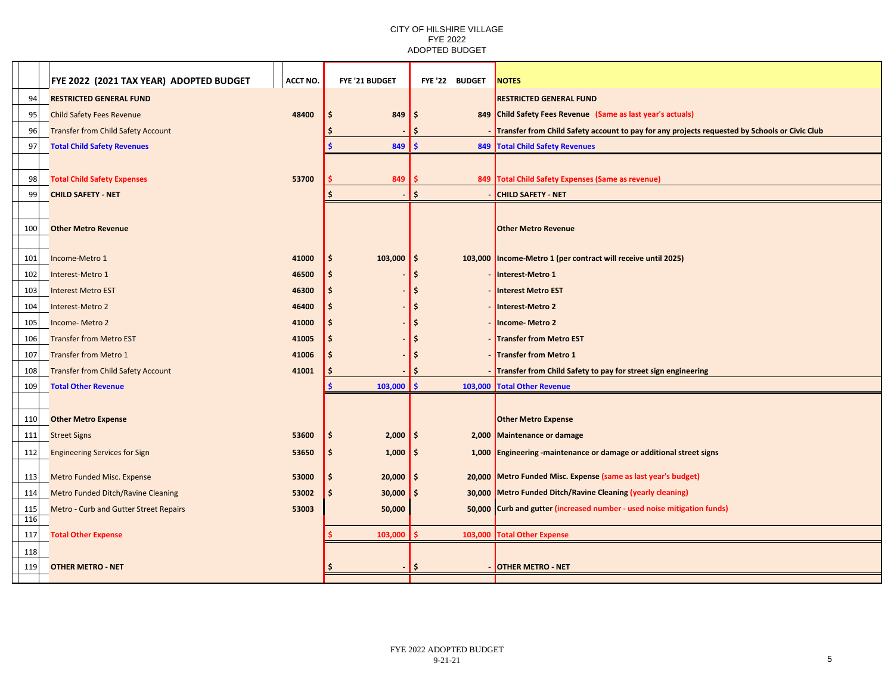|            | FYE 2022 (2021 TAX YEAR) ADOPTED BUDGET       | ACCT NO.       | FYE '21 BUDGET                     | FYE'22 BUDGET | <b>NOTES</b>                                                                                                                  |
|------------|-----------------------------------------------|----------------|------------------------------------|---------------|-------------------------------------------------------------------------------------------------------------------------------|
| 94         | <b>RESTRICTED GENERAL FUND</b>                |                |                                    |               | <b>RESTRICTED GENERAL FUND</b>                                                                                                |
| 95         | <b>Child Safety Fees Revenue</b>              | 48400          | 849                                | -S            | 849 Child Safety Fees Revenue (Same as last year's actuals)                                                                   |
| 96         | <b>Transfer from Child Safety Account</b>     |                |                                    |               | - Transfer from Child Safety account to pay for any projects requested by Schools or Civic Club                               |
| 97         | <b>Total Child Safety Revenues</b>            |                | $849$ \$                           |               | 849 Total Child Safety Revenues                                                                                               |
|            |                                               |                |                                    |               |                                                                                                                               |
| 98         | <b>Total Child Safety Expenses</b>            | 53700          | 849                                |               | 849 Total Child Safety Expenses (Same as revenue)                                                                             |
| 99         | <b>CHILD SAFETY - NET</b>                     |                |                                    | Ŝ.            | <b>CHILD SAFETY - NET</b>                                                                                                     |
|            |                                               |                |                                    |               |                                                                                                                               |
| 100        | <b>Other Metro Revenue</b>                    |                |                                    |               | <b>Other Metro Revenue</b>                                                                                                    |
|            |                                               |                |                                    |               |                                                                                                                               |
| 101        | Income-Metro 1                                | 41000          | 103,000<br>Ŝ.                      | ۱\$           | 103,000 Income-Metro 1 (per contract will receive until 2025)                                                                 |
| 102        | Interest-Metro 1                              | 46500          |                                    |               | Interest-Metro 1                                                                                                              |
| 103        | <b>Interest Metro EST</b>                     | 46300          |                                    |               | Interest Metro EST                                                                                                            |
| 104        | Interest-Metro 2                              | 46400          |                                    |               | Interest-Metro 2                                                                                                              |
| 105        | Income-Metro 2                                | 41000          |                                    |               | <b>Income-Metro 2</b>                                                                                                         |
| 106        | <b>Transfer from Metro EST</b>                | 41005          |                                    |               | - Transfer from Metro EST                                                                                                     |
| 107        | <b>Transfer from Metro 1</b>                  | 41006          |                                    |               | - Transfer from Metro 1                                                                                                       |
| 108        | <b>Transfer from Child Safety Account</b>     | 41001          |                                    |               | - Transfer from Child Safety to pay for street sign engineering                                                               |
| 109        | <b>Total Other Revenue</b>                    |                | $103,000$   \$                     |               | 103,000 Total Other Revenue                                                                                                   |
|            |                                               |                |                                    |               |                                                                                                                               |
| 110        | <b>Other Metro Expense</b>                    |                |                                    |               | <b>Other Metro Expense</b>                                                                                                    |
| 111        | <b>Street Signs</b>                           | 53600          | $2,000$   \$                       |               | 2,000 Maintenance or damage                                                                                                   |
| 112        | <b>Engineering Services for Sign</b>          | 53650          | $1,000$   \$                       |               | 1,000 Engineering -maintenance or damage or additional street signs                                                           |
|            |                                               |                | \$.                                |               |                                                                                                                               |
| 113        | <b>Metro Funded Misc. Expense</b>             | 53000<br>53002 | $20,000$   \$<br>$30,000$ \$<br>Ŝ. |               | 20,000 Metro Funded Misc. Expense (same as last year's budget)<br>30,000 Metro Funded Ditch/Ravine Cleaning (yearly cleaning) |
| 114        | <b>Metro Funded Ditch/Ravine Cleaning</b>     |                |                                    |               |                                                                                                                               |
| 115<br>116 | <b>Metro - Curb and Gutter Street Repairs</b> | 53003          | 50,000                             |               | 50,000 Curb and gutter (increased number - used noise mitigation funds)                                                       |
| 117        | <b>Total Other Expense</b>                    |                | $103,000$   \$                     |               | 103,000 Total Other Expense                                                                                                   |
| 118        |                                               |                |                                    |               |                                                                                                                               |
| 119        | <b>OTHER METRO - NET</b>                      |                |                                    |               | - OTHER METRO - NET                                                                                                           |
|            |                                               |                |                                    |               |                                                                                                                               |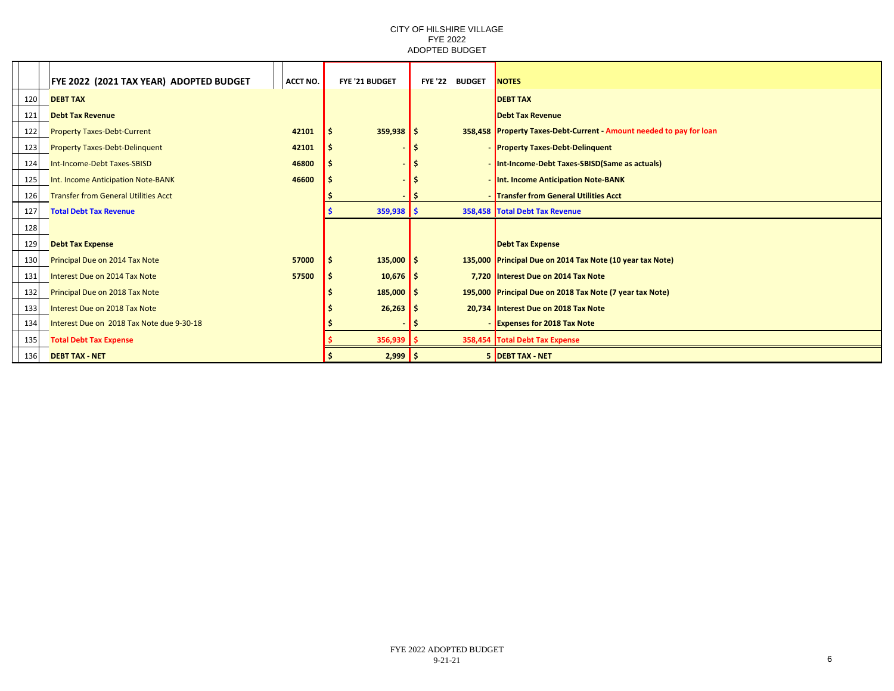|     | FYE 2022 (2021 TAX YEAR) ADOPTED BUDGET     | ACCT NO. | FYE '21 BUDGET | FYE'22 BUDGET | <b>NOTES</b>                                                        |
|-----|---------------------------------------------|----------|----------------|---------------|---------------------------------------------------------------------|
| 120 | <b>DEBT TAX</b>                             |          |                |               | <b>DEBT TAX</b>                                                     |
| 121 | <b>Debt Tax Revenue</b>                     |          |                |               | <b>Debt Tax Revenue</b>                                             |
| 122 | <b>Property Taxes-Debt-Current</b>          | 42101    | $359,938$ \$   |               | 358,458 Property Taxes-Debt-Current - Amount needed to pay for loan |
| 123 | <b>Property Taxes-Debt-Delinquent</b>       | 42101    |                |               | - Property Taxes-Debt-Delinquent                                    |
| 124 | Int-Income-Debt Taxes-SBISD                 | 46800    |                |               | - Int-Income-Debt Taxes-SBISD(Same as actuals)                      |
| 125 | Int. Income Anticipation Note-BANK          | 46600    |                |               | - Int. Income Anticipation Note-BANK                                |
| 126 | <b>Transfer from General Utilities Acct</b> |          |                |               | - Transfer from General Utilities Acct                              |
| 127 | <b>Total Debt Tax Revenue</b>               |          | $359,938$ \$   |               | 358,458 Total Debt Tax Revenue                                      |
| 128 |                                             |          |                |               |                                                                     |
| 129 | <b>Debt Tax Expense</b>                     |          |                |               | <b>Debt Tax Expense</b>                                             |
| 130 | Principal Due on 2014 Tax Note              | 57000    | $135,000$ \$   |               | 135,000 Principal Due on 2014 Tax Note (10 year tax Note)           |
| 131 | Interest Due on 2014 Tax Note               | 57500    | $10,676$ \$    |               | 7,720 Interest Due on 2014 Tax Note                                 |
| 132 | Principal Due on 2018 Tax Note              |          | $185,000$ \$   |               | 195,000 Principal Due on 2018 Tax Note (7 year tax Note)            |
| 133 | Interest Due on 2018 Tax Note               |          | $26,263$ \$    |               | 20,734 Interest Due on 2018 Tax Note                                |
| 134 | Interest Due on 2018 Tax Note due 9-30-18   |          |                |               | - Expenses for 2018 Tax Note                                        |
| 135 | <b>Total Debt Tax Expense</b>               |          | $356,939$ \$   |               | 358,454 Total Debt Tax Expense                                      |
| 136 | <b>DEBT TAX - NET</b>                       |          | $2,999$ \$     |               | 5 DEBT TAX - NET                                                    |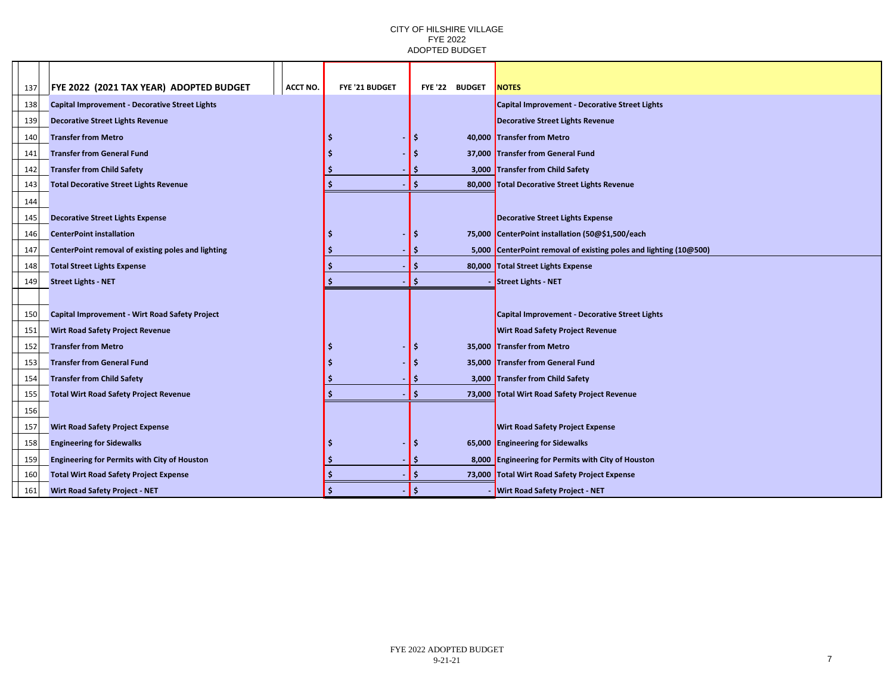| 137 | <b>FYE 2022 (2021 TAX YEAR) ADOPTED BUDGET</b>        | ACCT NO. | <b>FYE '21 BUDGET</b> |          | FYE '22 BUDGET | <b>NOTES</b>                                                      |
|-----|-------------------------------------------------------|----------|-----------------------|----------|----------------|-------------------------------------------------------------------|
| 138 | <b>Capital Improvement - Decorative Street Lights</b> |          |                       |          |                | Capital Improvement - Decorative Street Lights                    |
| 139 | <b>Decorative Street Lights Revenue</b>               |          |                       |          |                | <b>Decorative Street Lights Revenue</b>                           |
| 140 | <b>Transfer from Metro</b>                            |          |                       | -S       |                | 40,000 Transfer from Metro                                        |
| 141 | <b>Transfer from General Fund</b>                     |          |                       | -\$      |                | 37,000 Transfer from General Fund                                 |
| 142 | <b>Transfer from Child Safety</b>                     |          |                       | S        |                | 3,000 Transfer from Child Safety                                  |
| 143 | <b>Total Decorative Street Lights Revenue</b>         |          |                       | Ś        |                | 80,000 Total Decorative Street Lights Revenue                     |
| 144 |                                                       |          |                       |          |                |                                                                   |
| 145 | <b>Decorative Street Lights Expense</b>               |          |                       |          |                | <b>Decorative Street Lights Expense</b>                           |
| 146 | <b>CenterPoint installation</b>                       |          |                       | -\$      |                | 75,000 CenterPoint installation (50@\$1,500/each                  |
| 147 | CenterPoint removal of existing poles and lighting    |          |                       | -S       |                | 5,000 CenterPoint removal of existing poles and lighting (10@500) |
| 148 | <b>Total Street Lights Expense</b>                    |          |                       | Ś        |                | 80,000 Total Street Lights Expense                                |
| 149 | <b>Street Lights - NET</b>                            |          |                       | <b>S</b> |                | Street Lights - NET                                               |
|     |                                                       |          |                       |          |                |                                                                   |
| 150 | <b>Capital Improvement - Wirt Road Safety Project</b> |          |                       |          |                | Capital Improvement - Decorative Street Lights                    |
| 151 | <b>Wirt Road Safety Project Revenue</b>               |          |                       |          |                | <b>Wirt Road Safety Project Revenue</b>                           |
| 152 | <b>Transfer from Metro</b>                            |          |                       | -\$      |                | 35,000 Transfer from Metro                                        |
| 153 | <b>Transfer from General Fund</b>                     |          |                       | -Ś       |                | 35,000 Transfer from General Fund                                 |
| 154 | <b>Transfer from Child Safety</b>                     |          |                       | Ś        |                | 3,000 Transfer from Child Safety                                  |
| 155 | <b>Total Wirt Road Safety Project Revenue</b>         |          |                       | Ś        |                | 73,000 Total Wirt Road Safety Project Revenue                     |
| 156 |                                                       |          |                       |          |                |                                                                   |
| 157 | <b>Wirt Road Safety Project Expense</b>               |          |                       |          |                | <b>Wirt Road Safety Project Expense</b>                           |
| 158 | <b>Engineering for Sidewalks</b>                      |          |                       | Ś        |                | 65,000 Engineering for Sidewalks                                  |
| 159 | <b>Engineering for Permits with City of Houston</b>   |          |                       | Ŝ        |                | 8,000 Engineering for Permits with City of Houston                |
| 160 | <b>Total Wirt Road Safety Project Expense</b>         |          |                       | Ŝ        |                | 73,000 Total Wirt Road Safety Project Expense                     |
| 161 | <b>Wirt Road Safety Project - NET</b>                 |          |                       | Ś        |                | <b>Wirt Road Safety Project - NET</b>                             |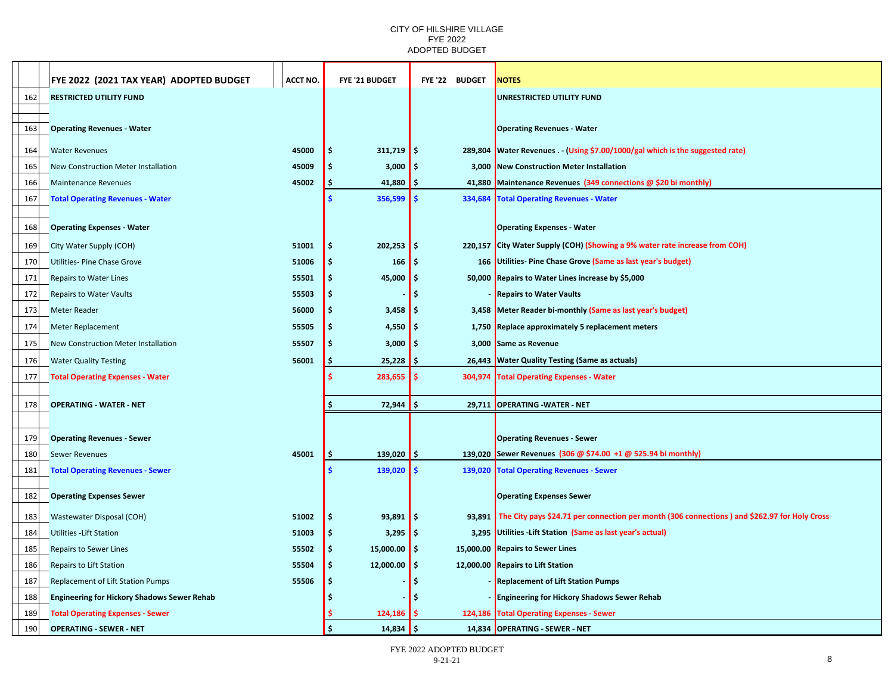|     | FYE 2022(2021 TAX YEAR)ADOPTED BUDGET<br>ACCT NO.   | <b>FYE '21 BUDGET</b>       |                     | FYE'22 BUDGET | <b>NOTES</b>                                                                                        |
|-----|-----------------------------------------------------|-----------------------------|---------------------|---------------|-----------------------------------------------------------------------------------------------------|
| 162 | <b>RESTRICTED UTILITY FUND</b>                      |                             |                     |               | UNRESTRICTED UTILITY FUND                                                                           |
|     |                                                     |                             |                     |               |                                                                                                     |
| 163 | <b>Operating Revenues - Water</b>                   |                             |                     |               | <b>Operating Revenues - Water</b>                                                                   |
| 164 | <b>Water Revenues</b><br>45000                      | $311,719$ \$<br>-S          |                     |               | 289,804 Water Revenues - (Using \$7.00/1000/gal which is the suggested rate)                        |
| 165 | <b>New Construction Meter Installation</b><br>45009 | 3,000                       | -\$                 |               | 3,000 New Construction Meter Installation                                                           |
| 166 | 45002<br><b>Maintenance Revenues</b>                | 41,880<br>١Ş                | -\$                 |               | 41,880 Maintenance Revenues (349 connections @ \$20 bi monthly)                                     |
| 167 | <b>Total Operating Revenues - Water</b>             | 356,599                     | -\$                 |               | 334,684   Total Operating Revenues - Water                                                          |
|     |                                                     |                             |                     |               |                                                                                                     |
| 168 | <b>Operating Expenses - Water</b>                   |                             |                     |               | <b>Operating Expenses - Water</b>                                                                   |
| 169 | 51001<br>City Water Supply (COH)                    | $202,253$ \$<br>-\$         |                     |               | 220,157 City Water Supply (COH) (Showing a 9% water rate increase from COH)                         |
| 170 | Utilities- Pine Chase Grove<br>51006                | 166<br>۱\$                  | -\$                 |               | 166 Utilities- Pine Chase Grove (Same as last year's budget)                                        |
| 171 | Repairs to Water Lines<br>55501                     | 45,000 $\vert$ \$<br>-S     |                     |               | 50,000 Repairs to Water Lines increase by \$5,000                                                   |
| 172 | <b>Repairs to Water Vaults</b><br>55503             | .s                          | Ś                   |               | <b>Repairs to Water Vaults</b>                                                                      |
| 173 | <b>Meter Reader</b><br>56000                        | $3,458$ $\frac{1}{2}$<br>-S |                     |               | 3,458 Meter Reader bi-monthly (Same as last year's budget)                                          |
| 174 | 55505<br><b>Meter Replacement</b>                   | 4,550<br>.S                 | -\$                 |               | 1,750 Replace approximately 5 replacement meters                                                    |
| 175 | New Construction Meter Installation<br>55507        | 3,000<br>.S                 | -\$                 |               | 3,000 Same as Revenue                                                                               |
| 176 | 56001<br><b>Water Quality Testing</b>               | 25,228<br>-Ş.               | -\$                 |               | 26,443 Water Quality Testing (Same as actuals)                                                      |
| 177 | <b>Total Operating Expenses - Water</b>             | 283,655                     | $\mathsf{s}$        |               | 304,974 Total Operating Expenses - Water                                                            |
|     |                                                     |                             |                     |               |                                                                                                     |
| 178 | <b>OPERATING - WATER - NET</b>                      | 72,944<br>-\$               | -\$                 |               | 29,711 OPERATING - WATER - NET                                                                      |
|     |                                                     |                             |                     |               |                                                                                                     |
| 179 | <b>Operating Revenues - Sewer</b>                   |                             |                     |               | <b>Operating Revenues - Sewer</b>                                                                   |
| 180 | 45001<br><b>Sewer Revenues</b>                      | 139,020<br>١\$              | -\$                 |               | 139,020 Sewer Revenues (306 @ \$74.00 +1 @ 525.94 bi monthly)                                       |
| 181 | <b>Total Operating Revenues - Sewer</b>             | 139,020                     | $\ddot{\bm{\zeta}}$ |               | 139,020 Total Operating Revenues - Sewer                                                            |
| 182 | <b>Operating Expenses Sewer</b>                     |                             |                     |               | <b>Operating Expenses Sewer</b>                                                                     |
| 183 | Wastewater Disposal (COH)<br>51002                  | $93,891$ \$<br>١\$          |                     |               | 93,891 The City pays \$24.71 per connection per month (306 connections) and \$262.97 for Holy Cross |
| 184 | <b>Utilities - Lift Station</b><br>51003            | 3,295<br>-S                 | -\$                 | 3,295         | Utilities - Lift Station (Same as last year's actual)                                               |
| 185 | <b>Repairs to Sewer Lines</b><br>55502              | 15,000.00 $\vert$ \$<br>-S  |                     |               | 15,000.00 Repairs to Sewer Lines                                                                    |
| 186 | <b>Repairs to Lift Station</b><br>55504             | 12,000.00 \$<br>-S          |                     |               | 12,000.00 Repairs to Lift Station                                                                   |
| 187 | Replacement of Lift Station Pumps<br>55506          |                             | Š.                  |               | <b>Replacement of Lift Station Pumps</b>                                                            |
| 188 | <b>Engineering for Hickory Shadows Sewer Rehab</b>  |                             | Ś                   |               | <b>Engineering for Hickory Shadows Sewer Rehab</b>                                                  |
| 189 | <b>Total Operating Expenses - Sewer</b>             | 124,186                     | S                   |               | 124,186 Total Operating Expenses - Sewer                                                            |
| 190 | <b>OPERATING - SEWER - NET</b>                      | ١ś<br>14,834                | -\$                 |               | 14,834 OPERATING - SEWER - NET                                                                      |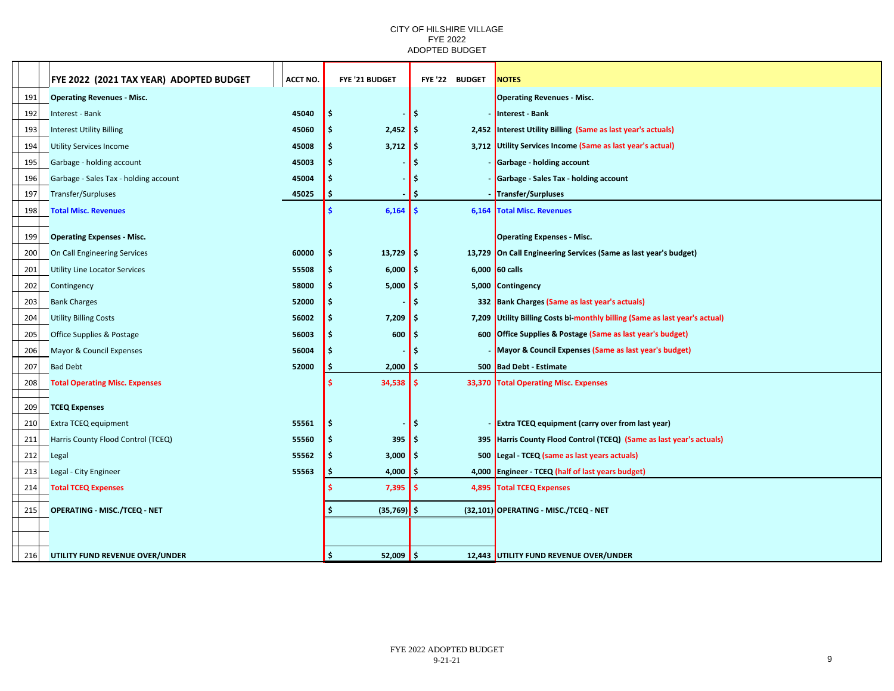|     | FYE 2022 (2021 TAX YEAR) ADOPTED BUDGET | <b>ACCT NO.</b> | FYE '21 BUDGET            |                 | FYE'22 BUDGET | <b>NOTES</b>                                                                |
|-----|-----------------------------------------|-----------------|---------------------------|-----------------|---------------|-----------------------------------------------------------------------------|
| 191 | <b>Operating Revenues - Misc.</b>       |                 |                           |                 |               | <b>Operating Revenues - Misc.</b>                                           |
| 192 | Interest - Bank                         | 45040           | \$                        | $\ddot{\bm{s}}$ |               | Interest - Bank                                                             |
| 193 | <b>Interest Utility Billing</b>         | 45060           | $2,452$ \$<br>Ŝ.          |                 |               | 2,452 Interest Utility Billing (Same as last year's actuals)                |
| 194 | <b>Utility Services Income</b>          | 45008           | $3,712$ \$<br>\$          |                 |               | 3,712 Utility Services Income (Same as last year's actual)                  |
| 195 | Garbage - holding account               | 45003           | .\$                       | Ś               |               | - Garbage - holding account                                                 |
| 196 | Garbage - Sales Tax - holding account   | 45004           | \$                        | -S              |               | - Garbage - Sales Tax - holding account                                     |
| 197 | <b>Transfer/Surpluses</b>               | 45025           |                           | Ś               |               | - Transfer/Surpluses                                                        |
| 198 | <b>Total Misc. Revenues</b>             |                 | 6,164                     | -\$             |               | 6,164 Total Misc. Revenues                                                  |
|     |                                         |                 |                           |                 |               |                                                                             |
| 199 | <b>Operating Expenses - Misc.</b>       |                 |                           |                 |               | <b>Operating Expenses - Misc.</b>                                           |
| 200 | On Call Engineering Services            | 60000           | \$<br>$13,729$ \$         |                 |               | 13,729 On Call Engineering Services (Same as last year's budget)            |
| 201 | <b>Utility Line Locator Services</b>    | 55508           | $6,000$ \$<br>\$.         |                 |               | $6,000$ 60 calls                                                            |
| 202 | Contingency                             | 58000           | Ŝ.<br>$5,000$   \$        |                 |               | 5,000 Contingency                                                           |
| 203 | <b>Bank Charges</b>                     | 52000           | \$                        | -\$             |               | 332 Bank Charges (Same as last year's actuals)                              |
| 204 | <b>Utility Billing Costs</b>            | 56002           | Ŝ.<br>$7,209$ \$          |                 |               | 7,209 Utility Billing Costs bi-monthly billing (Same as last year's actual) |
| 205 | <b>Office Supplies &amp; Postage</b>    | 56003           | Ŝ.<br>600                 | l \$            |               | 600 Office Supplies & Postage (Same as last year's budget)                  |
| 206 | Mayor & Council Expenses                | 56004           | Ŝ.                        | Ś               |               | - Mayor & Council Expenses (Same as last year's budget)                     |
| 207 | <b>Bad Debt</b>                         | 52000           | 2,000                     | I \$            |               | 500 Bad Debt - Estimate                                                     |
| 208 | <b>Total Operating Misc. Expenses</b>   |                 | $34,538$ \$               |                 |               | 33,370 Total Operating Misc. Expenses                                       |
| 209 | <b>TCEQ Expenses</b>                    |                 |                           |                 |               |                                                                             |
| 210 | Extra TCEQ equipment                    | 55561           | \$                        | \$              |               | - Extra TCEQ equipment (carry over from last year)                          |
| 211 | Harris County Flood Control (TCEQ)      | 55560           | Ŝ.<br>$395$ $\frac{1}{5}$ |                 |               | 395 Harris County Flood Control (TCEQ) (Same as last year's actuals)        |
| 212 | Legal                                   | 55562           | $3,000$ \$<br>Ŝ           |                 |               | 500 Legal - TCEQ (same as last years actuals)                               |
| 213 | Legal - City Engineer                   | 55563           | 4,000 $\vert$ \$<br>Ŝ     |                 |               | 4,000 Engineer - TCEQ (half of last years budget)                           |
| 214 | <b>Total TCEQ Expenses</b>              |                 | $7,395$ \$                |                 |               | 4,895 Total TCEQ Expenses                                                   |
|     |                                         |                 |                           |                 |               |                                                                             |
| 215 | <b>OPERATING - MISC./TCEQ - NET</b>     |                 | $(35,769)$ \$             |                 |               | (32,101) OPERATING - MISC./TCEQ - NET                                       |
|     |                                         |                 |                           |                 |               |                                                                             |
|     |                                         |                 |                           |                 |               |                                                                             |
| 216 | UTILITY FUND REVENUE OVER/UNDER         |                 | \$<br>$52,009$ \$         |                 |               | 12,443 UTILITY FUND REVENUE OVER/UNDER                                      |